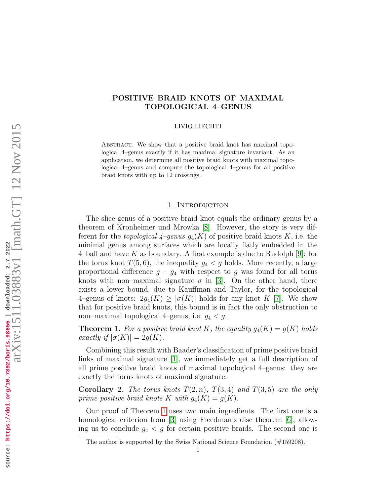# POSITIVE BRAID KNOTS OF MAXIMAL TOPOLOGICAL 4–GENUS

#### LIVIO LIECHTI

ABSTRACT. We show that a positive braid knot has maximal topological 4–genus exactly if it has maximal signature invariant. As an application, we determine all positive braid knots with maximal topological 4–genus and compute the topological 4–genus for all positive braid knots with up to 12 crossings.

## 1. INTRODUCTION

The slice genus of a positive braid knot equals the ordinary genus by a theorem of Kronheimer und Mrowka [8]. However, the story is very different for the *topological*  $4$ –genus  $g_4(K)$  of positive braid knots K, i.e. the minimal genus among surfaces which are locally flatly embedded in the 4-ball and have K as boundary. A first example is due to Rudolph [9]: for the torus knot  $T(5,6)$ , the inequality  $g_4 < g$  holds. More recently, a large proportional difference  $g - g_4$  with respect to g was found for all torus knots with non–maximal signature  $\sigma$  in [3]. On the other hand, there exists a lower bound, due to Kauffman and Taylor, for the topological 4–genus of knots:  $2g_4(K) \geq |\sigma(K)|$  holds for any knot K [7]. We show that for positive braid knots, this bound is in fact the only obstruction to non–maximal topological 4–genus, i.e.  $q_4 < q$ .

**Theorem 1.** For a positive braid knot K, the equality  $g_4(K) = g(K)$  holds exactly if  $|\sigma(K)| = 2q(K)$ .

Combining this result with Baader's classification of prime positive braid links of maximal signature [1], we immediately get a full description of all prime positive braid knots of maximal topological 4–genus: they are exactly the torus knots of maximal signature.

**Corollary 2.** The torus knots  $T(2, n)$ ,  $T(3, 4)$  and  $T(3, 5)$  are the only prime positive braid knots K with  $g_4(K) = g(K)$ .

Our proof of Theorem 1 uses two main ingredients. The first one is a homological criterion from [3] using Freedman's disc theorem [6], allowing us to conclude  $g_4 < g$  for certain positive braids. The second one is

The author is supported by the Swiss National Science Foundation (#159208).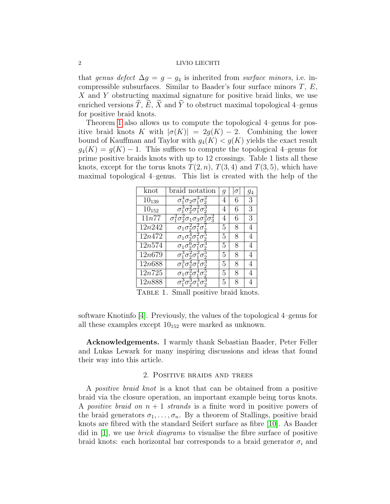that genus defect  $\Delta g = g - g_4$  is inherited from surface minors, i.e. incompressible subsurfaces. Similar to Baader's four surface minors  $T, E$ , X and Y obstructing maximal signature for positive braid links, we use enriched versions  $\overline{T}$ ,  $\overline{E}$ ,  $\overline{X}$  and  $\overline{Y}$  to obstruct maximal topological 4–genus for positive braid knots.

Theorem 1 also allows us to compute the topological 4–genus for positive braid knots K with  $|\sigma(K)| = 2g(K) - 2$ . Combining the lower bound of Kauffman and Taylor with  $g_4(K) < g(K)$  yields the exact result  $g_4(K) = g(K) - 1$ . This suffices to compute the topological 4–genus for prime positive braids knots with up to 12 crossings. Table 1 lists all these knots, except for the torus knots  $T(2, n)$ ,  $T(3, 4)$  and  $T(3, 5)$ , which have maximal topological 4–genus. This list is created with the help of the

| knot       | braid notation                                                                          | g | σ | 94 |
|------------|-----------------------------------------------------------------------------------------|---|---|----|
| $10_{139}$ | 0 20                                                                                    | 4 | 6 | 3  |
| $10_{152}$ |                                                                                         | 4 | 6 | 3  |
| 11n77      | $\sigma_1^2 \sigma_2^2 \sigma_1 \sigma_3 \sigma$<br>$\sigma_3^{\scriptscriptstyle \pm}$ | 4 | 6 | 3  |
| 12n242     | $\sigma_1 \sigma_2^2 \sigma$                                                            | 5 | 8 |    |
| 12n472     | $\sigma_1\sigma$                                                                        | 5 | 8 |    |
| 12n574     |                                                                                         | 5 | 8 |    |
| 12n679     |                                                                                         | 5 | 8 |    |
| 12n688     |                                                                                         | 5 | 8 |    |
| 12n725     |                                                                                         | 5 | 8 |    |
| 12n888     |                                                                                         | 5 | 8 |    |

TABLE 1. Small positive braid knots.

software Knotinfo [4]. Previously, the values of the topological 4–genus for all these examples except  $10_{152}$  were marked as unknown.

Acknowledgements. I warmly thank Sebastian Baader, Peter Feller and Lukas Lewark for many inspiring discussions and ideas that found their way into this article.

# 2. Positive braids and trees

A positive braid knot is a knot that can be obtained from a positive braid via the closure operation, an important example being torus knots. A positive braid on  $n + 1$  strands is a finite word in positive powers of the braid generators  $\sigma_1, \ldots, \sigma_n$ . By a theorem of Stallings, positive braid knots are fibred with the standard Seifert surface as fibre [10]. As Baader did in  $|1|$ , we use *brick diagrams* to visualise the fibre surface of positive braid knots: each horizontal bar corresponds to a braid generator  $\sigma_i$  and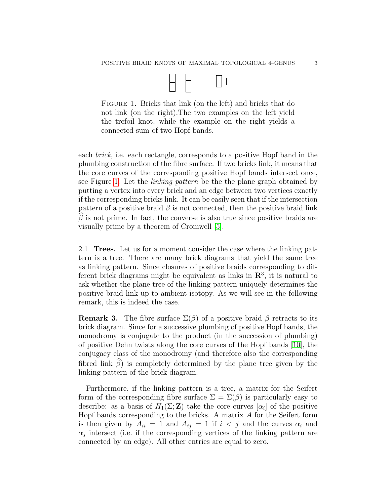

FIGURE 1. Bricks that link (on the left) and bricks that do not link (on the right).The two examples on the left yield the trefoil knot, while the example on the right yields a connected sum of two Hopf bands.

each brick, i.e. each rectangle, corresponds to a positive Hopf band in the plumbing construction of the fibre surface. If two bricks link, it means that the core curves of the corresponding positive Hopf bands intersect once, see Figure 1. Let the linking pattern be the the plane graph obtained by putting a vertex into every brick and an edge between two vertices exactly if the corresponding bricks link. It can be easily seen that if the intersection pattern of a positive braid  $\beta$  is not connected, then the positive braid link  $\widehat{\beta}$  is not prime. In fact, the converse is also true since positive braids are visually prime by a theorem of Cromwell [5].

2.1. Trees. Let us for a moment consider the case where the linking pattern is a tree. There are many brick diagrams that yield the same tree as linking pattern. Since closures of positive braids corresponding to different brick diagrams might be equivalent as links in  $\mathbb{R}^3$ , it is natural to ask whether the plane tree of the linking pattern uniquely determines the positive braid link up to ambient isotopy. As we will see in the following remark, this is indeed the case.

**Remark 3.** The fibre surface  $\Sigma(\beta)$  of a positive braid  $\beta$  retracts to its brick diagram. Since for a successive plumbing of positive Hopf bands, the monodromy is conjugate to the product (in the succession of plumbing) of positive Dehn twists along the core curves of the Hopf bands [10], the conjugacy class of the monodromy (and therefore also the corresponding fibred link  $\widehat{\beta}$ ) is completely determined by the plane tree given by the linking pattern of the brick diagram.

Furthermore, if the linking pattern is a tree, a matrix for the Seifert form of the corresponding fibre surface  $\Sigma = \Sigma(\beta)$  is particularly easy to describe: as a basis of  $H_1(\Sigma;\mathbf{Z})$  take the core curves  $[\alpha_i]$  of the positive Hopf bands corresponding to the bricks. A matrix A for the Seifert form is then given by  $A_{ii} = 1$  and  $A_{ij} = 1$  if  $i < j$  and the curves  $\alpha_i$  and  $\alpha_j$  intersect (i.e. if the corresponding vertices of the linking pattern are connected by an edge). All other entries are equal to zero.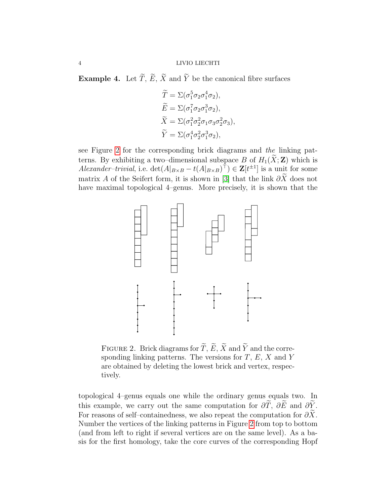**Example 4.** Let  $\widetilde{T}$ ,  $\widetilde{E}$ ,  $\widetilde{X}$  and  $\widetilde{Y}$  be the canonical fibre surfaces

$$
\widetilde{T} = \Sigma(\sigma_1^5 \sigma_2 \sigma_1^4 \sigma_2), \n\widetilde{E} = \Sigma(\sigma_1^7 \sigma_2 \sigma_1^3 \sigma_2), \n\widetilde{X} = \Sigma(\sigma_1^2 \sigma_2^2 \sigma_1 \sigma_3 \sigma_2^2 \sigma_3), \n\widetilde{Y} = \Sigma(\sigma_1^4 \sigma_2^2 \sigma_1^3 \sigma_2),
$$

see Figure 2 for the corresponding brick diagrams and the linking patterns. By exhibiting a two–dimensional subspace B of  $H_1(\tilde{X}; \mathbf{Z})$  which is *Alexander-trivial*, i.e.  $\det(A|_{B\times B} - t(A|_{B\times B})^{\top}) \in \mathbf{Z}[t^{\pm 1}]$  is a unit for some matrix A of the Seifert form, it is shown in [3] that the link  $\partial \tilde{X}$  does not have maximal topological 4–genus. More precisely, it is shown that the



FIGURE 2. Brick diagrams for  $\widetilde{T}$ ,  $\widetilde{E}$ ,  $\widetilde{X}$  and  $\widetilde{Y}$  and the corresponding linking patterns. The versions for  $T$ ,  $E$ ,  $X$  and  $Y$ are obtained by deleting the lowest brick and vertex, respectively.

topological 4–genus equals one while the ordinary genus equals two. In this example, we carry out the same computation for  $\partial \widetilde{T}$ ,  $\partial \widetilde{E}$  and  $\partial \widetilde{Y}$ . For reasons of self–containedness, we also repeat the computation for  $\partial X$ . Number the vertices of the linking patterns in Figure 2 from top to bottom (and from left to right if several vertices are on the same level). As a basis for the first homology, take the core curves of the corresponding Hopf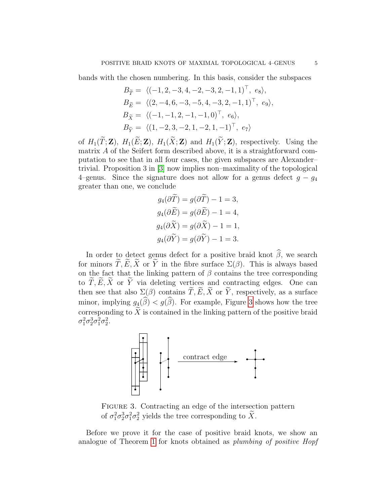bands with the chosen numbering. In this basis, consider the subspaces

$$
B_{\widetilde{T}} = \langle (-1, 2, -3, 4, -2, -3, 2, -1, 1)^\top, e_8 \rangle,
$$
  
\n
$$
B_{\widetilde{E}} = \langle (2, -4, 6, -3, -5, 4, -3, 2, -1, 1)^\top, e_9 \rangle,
$$
  
\n
$$
B_{\widetilde{X}} = \langle (-1, -1, 2, -1, -1, 0)^\top, e_6 \rangle,
$$
  
\n
$$
B_{\widetilde{Y}} = \langle (1, -2, 3, -2, 1, -2, 1, -1)^\top, e_7 \rangle
$$

of  $H_1(\widetilde{T}; \mathbf{Z})$ ,  $H_1(\widetilde{E}; \mathbf{Z})$ ,  $H_1(\widetilde{X}; \mathbf{Z})$  and  $H_1(\widetilde{Y}; \mathbf{Z})$ , respectively. Using the matrix A of the Seifert form described above, it is a straightforward computation to see that in all four cases, the given subspaces are Alexander– trivial. Proposition 3 in [3] now implies non–maximality of the topological 4–genus. Since the signature does not allow for a genus defect  $g - g_4$ greater than one, we conclude

$$
g_4(\partial \widetilde{T}) = g(\partial \widetilde{T}) - 1 = 3,
$$
  
\n
$$
g_4(\partial \widetilde{E}) = g(\partial \widetilde{E}) - 1 = 4,
$$
  
\n
$$
g_4(\partial \widetilde{X}) = g(\partial \widetilde{X}) - 1 = 1,
$$
  
\n
$$
g_4(\partial \widetilde{Y}) = g(\partial \widetilde{Y}) - 1 = 3.
$$

In order to detect genus defect for a positive braid knot  $\widehat{\beta}$ , we search for minors  $\widetilde{T}, \widetilde{E}, \widetilde{X}$  or  $\widetilde{Y}$  in the fibre surface  $\Sigma(\beta)$ . This is always based on the fact that the linking pattern of  $\beta$  contains the tree corresponding to  $\widetilde{T}, \widetilde{E}, \widetilde{X}$  or  $\widetilde{Y}$  via deleting vertices and contracting edges. One can then see that also  $\Sigma(\beta)$  contains  $\widetilde{T}, \widetilde{E}, \widetilde{X}$  or  $\widetilde{Y}$ , respectively, as a surface minor, implying  $g_4(\widehat{\beta}) < g(\widehat{\beta})$ . For example, Figure 3 shows how the tree corresponding to  $\widetilde{X}$  is contained in the linking pattern of the positive braid  $\sigma_1^2 \sigma_2^3 \sigma_1^2 \sigma_2^2$ .



FIGURE 3. Contracting an edge of the intersection pattern of  $\sigma_1^2 \sigma_2^3 \sigma_1^2 \sigma_2^2$  yields the tree corresponding to  $\tilde{X}$ .

Before we prove it for the case of positive braid knots, we show an analogue of Theorem 1 for knots obtained as plumbing of positive Hopf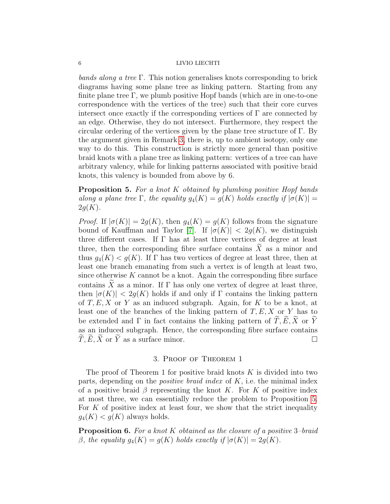bands along a tree Γ. This notion generalises knots corresponding to brick diagrams having some plane tree as linking pattern. Starting from any finite plane tree  $\Gamma$ , we plumb positive Hopf bands (which are in one-to-one correspondence with the vertices of the tree) such that their core curves intersect once exactly if the corresponding vertices of  $\Gamma$  are connected by an edge. Otherwise, they do not intersect. Furthermore, they respect the circular ordering of the vertices given by the plane tree structure of  $\Gamma$ . By the argument given in Remark 3, there is, up to ambient isotopy, only one way to do this. This construction is strictly more general than positive braid knots with a plane tree as linking pattern: vertices of a tree can have arbitrary valency, while for linking patterns associated with positive braid knots, this valency is bounded from above by 6.

<span id="page-5-0"></span>Proposition 5. For a knot K obtained by plumbing positive Hopf bands along a plane tree Γ, the equality  $g_4(K) = g(K)$  holds exactly if  $|\sigma(K)| =$  $2q(K)$ .

*Proof.* If  $|\sigma(K)| = 2g(K)$ , then  $g_4(K) = g(K)$  follows from the signature bound of Kauffman and Taylor [7]. If  $|\sigma(K)| < 2g(K)$ , we distinguish three different cases. If  $\Gamma$  has at least three vertices of degree at least three, then the corresponding fibre surface contains  $\tilde{X}$  as a minor and thus  $q_4(K) < q(K)$ . If  $\Gamma$  has two vertices of degree at least three, then at least one branch emanating from such a vertex is of length at least two, since otherwise  $K$  cannot be a knot. Again the corresponding fibre surface contains X as a minor. If Γ has only one vertex of degree at least three, then  $|\sigma(K)| < 2g(K)$  holds if and only if Γ contains the linking pattern of  $T, E, X$  or Y as an induced subgraph. Again, for K to be a knot, at least one of the branches of the linking pattern of  $T, E, X$  or Y has to be extended and  $\Gamma$  in fact contains the linking pattern of  $\widetilde{T}, \widetilde{E}, \widetilde{X}$  or  $\widetilde{Y}$ as an induced subgraph. Hence, the corresponding fibre surface contains  $\widetilde{T}, \widetilde{E}, \widetilde{X}$  or  $\widetilde{Y}$  as a surface minor.

## 3. Proof of Theorem 1

The proof of Theorem 1 for positive braid knots  $K$  is divided into two parts, depending on the *positive braid index* of  $K$ , i.e. the minimal index of a positive braid  $\beta$  representing the knot K. For K of positive index at most three, we can essentially reduce the problem to Proposition [5.](#page-5-0) For K of positive index at least four, we show that the strict inequality  $g_4(K) < g(K)$  always holds.

**Proposition 6.** For a knot K obtained as the closure of a positive  $3$ -braid β, the equality  $g_4(K) = g(K)$  holds exactly if  $|\sigma(K)| = 2g(K)$ .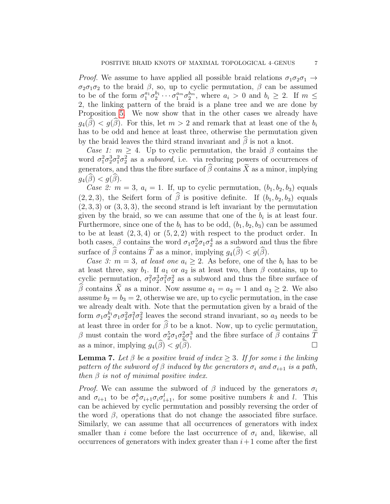*Proof.* We assume to have applied all possible braid relations  $\sigma_1 \sigma_2 \sigma_1 \rightarrow$  $\sigma_2\sigma_1\sigma_2$  to the braid  $\beta$ , so, up to cyclic permutation,  $\beta$  can be assumed to be of the form  $\sigma_1^{a_1}\sigma_2^{b_1}\cdots\sigma_1^{a_m}\sigma_2^{b_m}$ , where  $a_i > 0$  and  $b_i \geq 2$ . If  $m \leq$ 2, the linking pattern of the braid is a plane tree and we are done by Proposition [5.](#page-5-0) We now show that in the other cases we already have  $g_4(\beta) < g(\beta)$ . For this, let  $m > 2$  and remark that at least one of the  $b_i$ has to be odd and hence at least three, otherwise the permutation given by the braid leaves the third strand invariant and  $\hat{\beta}$  is not a knot.

Case 1:  $m \geq 4$ . Up to cyclic permutation, the braid  $\beta$  contains the word  $\sigma_1^2 \sigma_2^3 \sigma_1^2 \sigma_2^2$  as a *subword*, i.e. via reducing powers of occurrences of generators, and thus the fibre surface of  $\widehat{\beta}$  contains  $\widetilde{X}$  as a minor, implying  $q_4(\beta) < q(\beta)$ .

Case 2:  $m = 3$ ,  $a_i = 1$ . If, up to cyclic permutation,  $(b_1, b_2, b_3)$  equals  $(2, 2, 3)$ , the Seifert form of  $\hat{\beta}$  is positive definite. If  $(b_1, b_2, b_3)$  equals  $(2, 3, 3)$  or  $(3, 3, 3)$ , the second strand is left invariant by the permutation given by the braid, so we can assume that one of the  $b_i$  is at least four. Furthermore, since one of the  $b_i$  has to be odd,  $(b_1, b_2, b_3)$  can be assumed to be at least  $(2,3,4)$  or  $(5,2,2)$  with respect to the product order. In both cases,  $\beta$  contains the word  $\sigma_1 \sigma_2^5 \sigma_1 \sigma_2^4$  as a subword and thus the fibre surface of  $\widehat{\beta}$  contains  $\widetilde{T}$  as a minor, implying  $q_4(\widehat{\beta}) < q(\widehat{\beta})$ .

Case 3:  $m = 3$ , at least one  $a_i \geq 2$ . As before, one of the  $b_i$  has to be at least three, say  $b_1$ . If  $a_1$  or  $a_2$  is at least two, then  $\beta$  contains, up to cyclic permutation,  $\sigma_1^2 \sigma_2^3 \sigma_1^2 \sigma_2^2$  as a subword and thus the fibre surface of  $\widehat{\beta}$  contains  $\widetilde{X}$  as a minor. Now assume  $a_1 = a_2 = 1$  and  $a_3 \geq 2$ . We also assume  $b_2 = b_3 = 2$ , otherwise we are, up to cyclic permutation, in the case we already dealt with. Note that the permutation given by a braid of the form  $\sigma_1 \sigma_2^{b_1} \sigma_1 \sigma_2^2 \sigma_1^2 \sigma_2^2$  leaves the second strand invariant, so  $a_3$  needs to be at least three in order for  $\widehat{\beta}$  to be a knot. Now, up to cyclic permutation, β must contain the word  $\sigma_2^5 \sigma_1 \sigma_2^2 \sigma_1^3$  and the fibre surface of  $\hat{\beta}$  contains  $\overline{T}$ as a minor, implying  $g_4(\widehat{\beta}) < g(\widehat{\beta})$ .

**Lemma 7.** Let  $\beta$  be a positive braid of index  $\geq 3$ . If for some i the linking pattern of the subword of  $\beta$  induced by the generators  $\sigma_i$  and  $\sigma_{i+1}$  is a path, then  $\beta$  is not of minimal positive index.

*Proof.* We can assume the subword of  $\beta$  induced by the generators  $\sigma_i$ and  $\sigma_{i+1}$  to be  $\sigma_i^k \sigma_{i+1} \sigma_i \sigma_{i+1}^l$ , for some positive numbers k and l. This can be achieved by cyclic permutation and possibly reversing the order of the word  $\beta$ , operations that do not change the associated fibre surface. Similarly, we can assume that all occurrences of generators with index smaller than i come before the last occurrence of  $\sigma_i$  and, likewise, all occurrences of generators with index greater than  $i+1$  come after the first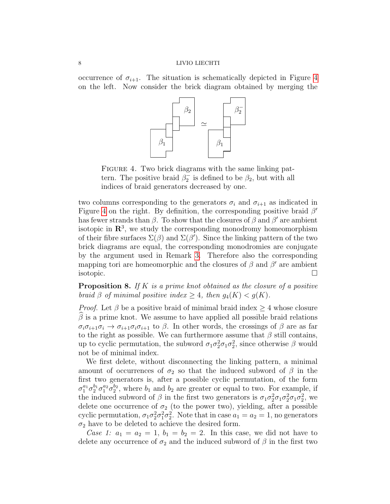occurrence of  $\sigma_{i+1}$ . The situation is schematically depicted in Figure 4 on the left. Now consider the brick diagram obtained by merging the



FIGURE 4. Two brick diagrams with the same linking pattern. The positive braid  $\beta_2^-$  is defined to be  $\beta_2$ , but with all indices of braid generators decreased by one.

two columns corresponding to the generators  $\sigma_i$  and  $\sigma_{i+1}$  as indicated in Figure 4 on the right. By definition, the corresponding positive braid  $\beta'$ has fewer strands than  $\beta$ . To show that the closures of  $\beta$  and  $\beta'$  are ambient isotopic in  $\mathbb{R}^3$ , we study the corresponding monodromy homeomorphism of their fibre surfaces  $\Sigma(\beta)$  and  $\Sigma(\beta')$ . Since the linking pattern of the two brick diagrams are equal, the corresponding monodromies are conjugate by the argument used in Remark 3. Therefore also the corresponding mapping tori are homeomorphic and the closures of  $\beta$  and  $\beta'$  are ambient isotopic.

<span id="page-7-0"></span>**Proposition 8.** If K is a prime knot obtained as the closure of a positive braid  $\beta$  of minimal positive index  $\geq 4$ , then  $q_4(K) < q(K)$ .

*Proof.* Let  $\beta$  be a positive braid of minimal braid index  $\geq 4$  whose closure  $\hat{\beta}$  is a prime knot. We assume to have applied all possible braid relations  $\sigma_i \sigma_{i+1} \sigma_i \to \sigma_{i+1} \sigma_i \sigma_{i+1}$  to  $\beta$ . In other words, the crossings of  $\beta$  are as far to the right as possible. We can furthermore assume that  $\beta$  still contains, up to cyclic permutation, the subword  $\sigma_1 \sigma_2^2 \sigma_1 \sigma_2^2$ , since otherwise  $\beta$  would not be of minimal index.

We first delete, without disconnecting the linking pattern, a minimal amount of occurrences of  $\sigma_2$  so that the induced subword of  $\beta$  in the first two generators is, after a possible cyclic permutation, of the form  $\sigma_1^{a_1} \sigma_2^{b_1} \sigma_1^{a_2} \sigma_2^{b_2}$ , where  $b_1$  and  $b_2$  are greater or equal to two. For example, if the induced subword of  $\beta$  in the first two generators is  $\sigma_1 \sigma_2^2 \sigma_1 \sigma_2^2 \sigma_1 \sigma_2^2$ , we delete one occurrence of  $\sigma_2$  (to the power two), yielding, after a possible cyclic permutation,  $\sigma_1 \sigma_2^2 \sigma_1^2 \sigma_2^2$ . Note that in case  $a_1 = a_2 = 1$ , no generators  $\sigma_2$  have to be deleted to achieve the desired form.

Case 1:  $a_1 = a_2 = 1$ ,  $b_1 = b_2 = 2$ . In this case, we did not have to delete any occurrence of  $\sigma_2$  and the induced subword of  $\beta$  in the first two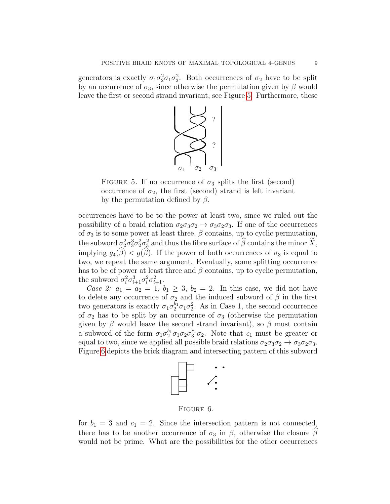generators is exactly  $\sigma_1 \sigma_2^2 \sigma_1 \sigma_2^2$ . Both occurrences of  $\sigma_2$  have to be split by an occurrence of  $\sigma_3$ , since otherwise the permutation given by  $\beta$  would leave the first or second strand invariant, see Figure 5. Furthermore, these



FIGURE 5. If no occurrence of  $\sigma_3$  splits the first (second) occurrence of  $\sigma_2$ , the first (second) strand is left invariant by the permutation defined by  $\beta$ .

occurrences have to be to the power at least two, since we ruled out the possibility of a braid relation  $\sigma_2\sigma_3\sigma_2 \rightarrow \sigma_3\sigma_2\sigma_3$ . If one of the occurrences of  $\sigma_3$  is to some power at least three,  $\beta$  contains, up to cyclic permutation, the subword  $\sigma_2^2 \sigma_3^3 \sigma_2^2 \sigma_3^2$  and thus the fibre surface of  $\hat{\beta}$  contains the minor  $\tilde{X}$ , implying  $g_4(\widehat{\beta}) < g(\widehat{\beta})$ . If the power of both occurrences of  $\sigma_3$  is equal to two, we repeat the same argument. Eventually, some splitting occurrence has to be of power at least three and  $\beta$  contains, up to cyclic permutation, the subword  $\sigma_i^2 \sigma_{i+1}^3 \sigma_i^2 \sigma_{i+1}^2$ .

Case 2:  $a_1 = a_2 = 1$ ,  $b_1 \geq 3$ ,  $b_2 = 2$ . In this case, we did not have to delete any occurrence of  $\sigma_2$  and the induced subword of  $\beta$  in the first two generators is exactly  $\sigma_1 \sigma_2^{b_1} \sigma_1 \sigma_2^2$ . As in Case 1, the second occurrence of  $\sigma_2$  has to be split by an occurrence of  $\sigma_3$  (otherwise the permutation given by  $\beta$  would leave the second strand invariant), so  $\beta$  must contain a subword of the form  $\sigma_1 \sigma_2^{b_1} \sigma_1 \sigma_2 \sigma_3^{c_1} \sigma_2$ . Note that  $c_1$  must be greater or equal to two, since we applied all possible braid relations  $\sigma_2 \sigma_3 \sigma_2 \rightarrow \sigma_3 \sigma_2 \sigma_3$ . Figure 6 depicts the brick diagram and intersecting pattern of this subword



Figure 6.

for  $b_1 = 3$  and  $c_1 = 2$ . Since the intersection pattern is not connected, there has to be another occurrence of  $\sigma_3$  in  $\beta$ , otherwise the closure  $\beta$ would not be prime. What are the possibilities for the other occurrences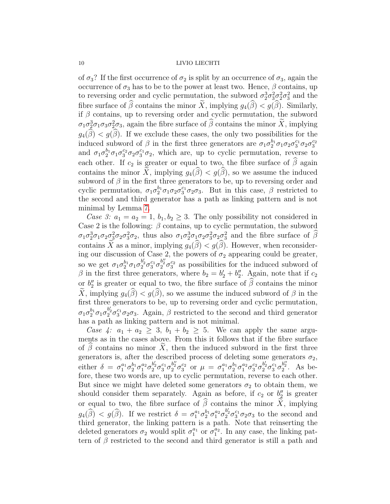of  $\sigma_3$ ? If the first occurrence of  $\sigma_2$  is split by an occurrence of  $\sigma_3$ , again the occurrence of  $\sigma_3$  has to be to the power at least two. Hence,  $\beta$  contains, up to reversing order and cyclic permutation, the subword  $\sigma_2^3 \sigma_3^2 \sigma_2^2 \sigma_3^2$  and the fibre surface of  $\widehat{\beta}$  contains the minor  $\widetilde{X}$ , implying  $g_4(\widehat{\beta}) < g(\widehat{\beta})$ . Similarly, if  $\beta$  contains, up to reversing order and cyclic permutation, the subword  $\sigma_1 \sigma_2^3 \sigma_1 \sigma_3 \sigma_2^2 \sigma_3$ , again the fibre surface of  $\beta$  contains the minor  $\tilde{X}$ , implying  $g_4(\widehat{\beta}) < g(\widehat{\beta})$ . If we exclude these cases, the only two possibilities for the induced subword of  $\beta$  in the first three generators are  $\sigma_1 \sigma_2^{b_1} \sigma_1 \sigma_2 \sigma_3^{c_1} \sigma_2 \sigma_3^{c_2}$ and  $\sigma_1 \sigma_2^{b_1} \sigma_1 \sigma_3^{c_2} \sigma_2 \sigma_3^{c_1} \sigma_2$ , which are, up to cyclic permutation, reverse to each other. If  $c_2$  is greater or equal to two, the fibre surface of  $\widehat{\beta}$  again contains the minor X, implying  $q_4(\hat{\beta}) < q(\hat{\beta})$ , so we assume the induced subword of  $\beta$  in the first three generators to be, up to reversing order and cyclic permutation,  $\sigma_1 \sigma_2^{b_1} \sigma_1 \sigma_2 \sigma_3^{c_1} \sigma_2 \sigma_3$ . But in this case,  $\beta$  restricted to the second and third generator has a path as linking pattern and is not minimal by Lemma 7.

Case 3:  $a_1 = a_2 = 1$ ,  $b_1, b_2 \geq 3$ . The only possibility not considered in Case 2 is the following:  $\beta$  contains, up to cyclic permutation, the subword  $\sigma_1 \sigma_2^3 \sigma_1 \sigma_2 \sigma_3^2 \sigma_2$ , thus also  $\sigma_1 \sigma_2^3 \sigma_1 \sigma_2 \sigma_3^2 \sigma_2 \sigma_3^2$  and the fibre surface of  $\beta$ contains  $\widetilde{X}$  as a minor, implying  $g_4(\widehat{\beta}) < g(\widehat{\beta})$ . However, when reconsidering our discussion of Case 2, the powers of  $\sigma_2$  appearing could be greater, so we get  $\sigma_1 \sigma_2^{b_1} \sigma_1 \sigma_2^{b_2'} \sigma_3^{c_1} \sigma_2^{b_2'} \sigma_3^{c_2}$  as possibilities for the induced subword of  $\beta$  in the first three generators, where  $b_2 = b'_2 + b''_2$ . Again, note that if  $c_2$ or  $b''_2$  is greater or equal to two, the fibre surface of  $\beta$  contains the minor X, implying  $g_4(\hat{\beta}) < g(\hat{\beta})$ , so we assume the induced subword of  $\beta$  in the first three generators to be, up to reversing order and cyclic permutation,  $\sigma_1 \sigma_2^{b_1} \sigma_1 \sigma_2^{b_2} \sigma_3^{c_1} \sigma_2 \sigma_3$ . Again,  $\beta$  restricted to the second and third generator has a path as linking pattern and is not minimal.

Case 4:  $a_1 + a_2 \geq 3$ ,  $b_1 + b_2 \geq 5$ . We can apply the same arguments as in the cases above. From this it follows that if the fibre surface of  $\beta$  contains no minor X, then the induced subword in the first three generators is, after the described process of deleting some generators  $\sigma_2$ , either  $\delta = \sigma_1^{a_1} \sigma_2^{b_1} \sigma_1^{a_2} \sigma_2^{b'_2} \sigma_3^{c_1} \sigma_2^{b''_2} \sigma_3^{c_2}$  or  $\mu = \sigma_1^{a_1} \sigma_2^{b_1} \sigma_1^{a_2} \sigma_3^{c_2} \sigma_2^{b'_2} \sigma_3^{c_1} \sigma_2^{b''_2}$ . As before, these two words are, up to cyclic permutation, reverse to each other. But since we might have deleted some generators  $\sigma_2$  to obtain them, we should consider them separately. Again as before, if  $c_2$  or  $b_2''$  is greater or equal to two, the fibre surface of  $\widehat{\beta}$  contains the minor  $\widetilde{X}$ , implying  $g_4(\widehat{\beta}) < g(\widehat{\beta})$ . If we restrict  $\delta = \sigma_1^{a_1} \sigma_2^{b_1} \sigma_1^{a_2} \sigma_2^{b_2'} \sigma_3^{c_1} \sigma_2 \sigma_3$  to the second and third generator, the linking pattern is a path. Note that reinserting the deleted generators  $\sigma_2$  would split  $\sigma_1^{a_1}$  or  $\sigma_1^{a_2}$ . In any case, the linking pattern of  $\beta$  restricted to the second and third generator is still a path and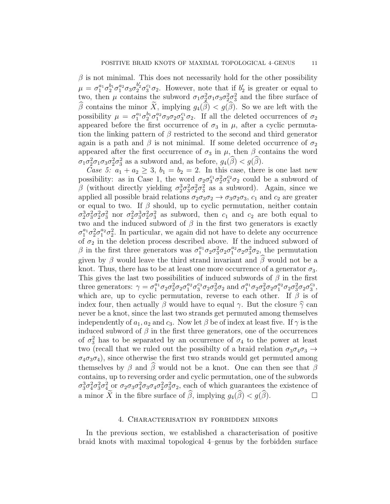$\beta$  is not minimal. This does not necessarily hold for the other possibility  $\mu = \sigma_1^{a_1} \sigma_2^{b_1} \sigma_1^{a_2} \sigma_3 \sigma_2^{b_2'} \sigma_3^{c_1} \sigma_2$ . However, note that if  $b_2$  is greater or equal to two, then  $\mu$  contains the subword  $\sigma_1 \sigma_2^2 \sigma_1 \sigma_3 \sigma_2^2 \sigma_3^2$  and the fibre surface of  $\widehat{\beta}$  contains the minor  $\widetilde{X}$ , implying  $g_4(\widehat{\beta}) < g(\widehat{\beta})$ . So we are left with the possibility  $\mu = \sigma_1^{a_1} \sigma_2^{b_1} \sigma_1^{a_2} \sigma_3 \sigma_2 \sigma_3^{c_1} \sigma_2$ . If all the deleted occurrences of  $\sigma_2$ appeared before the first occurrence of  $\sigma_3$  in  $\mu$ , after a cyclic permutation the linking pattern of  $\beta$  restricted to the second and third generator again is a path and  $\beta$  is not minimal. If some deleted occurrence of  $\sigma_2$ appeared after the first occurrence of  $\sigma_3$  in  $\mu$ , then  $\beta$  contains the word  $\sigma_1 \sigma_2^2 \sigma_1 \sigma_3 \sigma_2^2 \sigma_3^2$  as a subword and, as before,  $g_4(\beta) < g(\beta)$ .

Case 5:  $a_1 + a_2 \geq 3$ ,  $b_1 = b_2 = 2$ . In this case, there is one last new possibility: as in Case 1, the word  $\sigma_2 \sigma_3^{c_1} \sigma_2^2 \sigma_3^{c_2} \sigma_2$  could be a subword of β (without directly yielding  $\sigma_2^3 \sigma_3^2 \sigma_2^2 \sigma_3^2$  as a subword). Again, since we applied all possible braid relations  $\sigma_2 \sigma_3 \sigma_2 \rightarrow \sigma_3 \sigma_2 \sigma_3$ ,  $c_1$  and  $c_2$  are greater or equal to two. If  $\beta$  should, up to cyclic permutation, neither contain  $\sigma_2^3 \sigma_3^2 \sigma_2^2 \sigma_3^2$  nor  $\sigma_2^2 \sigma_3^3 \sigma_2^2 \sigma_3^2$  as subword, then  $c_1$  and  $c_2$  are both equal to two and the induced subword of  $\beta$  in the first two generators is exactly  $\sigma_1^{a_1} \sigma_2^2 \sigma_1^{a_2} \sigma_2^2$ . In particular, we again did not have to delete any occurrence of  $\sigma_2$  in the deletion process described above. If the induced subword of β in the first three generators was  $\sigma_1^{a_1} \sigma_2 \sigma_3^2 \sigma_2 \sigma_1^{a_2} \sigma_2 \sigma_3^2 \sigma_2$ , the permutation given by  $\beta$  would leave the third strand invariant and  $\hat{\beta}$  would not be a knot. Thus, there has to be at least one more occurrence of a generator  $\sigma_3$ . This gives the last two possibilities of induced subwords of  $\beta$  in the first three generators:  $\gamma = \sigma_1^{a_1} \sigma_2 \sigma_3^2 \sigma_2 \sigma_1^{a_2} \sigma_3^{c_3} \sigma_2 \sigma_3^2 \sigma_2$  and  $\sigma_1^{a_1} \sigma_2 \sigma_3^2 \sigma_2 \sigma_1^{a_2} \sigma_2 \sigma_3^2 \sigma_3$ which are, up to cyclic permutation, reverse to each other. If  $\beta$  is of index four, then actually  $\beta$  would have to equal  $\gamma$ . But the closure  $\hat{\gamma}$  can never be a knot, since the last two strands get permuted among themselves independently of  $a_1, a_2$  and  $c_3$ . Now let  $\beta$  be of index at least five. If  $\gamma$  is the induced subword of  $\beta$  in the first three generators, one of the occurrences of  $\sigma_3^2$  has to be separated by an occurrence of  $\sigma_4$  to the power at least two (recall that we ruled out the possibilty of a braid relation  $\sigma_3 \sigma_4 \sigma_3 \rightarrow$  $\sigma_4\sigma_3\sigma_4$ , since otherwise the first two strands would get permuted among themselves by  $\beta$  and  $\hat{\beta}$  would not be a knot. One can then see that  $\beta$ contains, up to reversing order and cyclic permutation, one of the subwords  $\sigma_3^3 \sigma_4^2 \sigma_3^2 \sigma_4^2$  or  $\sigma_2 \sigma_3 \sigma_4^2 \sigma_3 \sigma_4 \sigma_2^2 \sigma_3^2 \sigma_2$ , each of which guarantees the existence of a minor  $\widetilde{X}$  in the fibre surface of  $\widehat{\beta}$ , implying  $g_4(\widehat{\beta}) < g(\widehat{\beta})$ .

## 4. Characterisation by forbidden minors

In the previous section, we established a characterisation of positive braid knots with maximal topological 4–genus by the forbidden surface